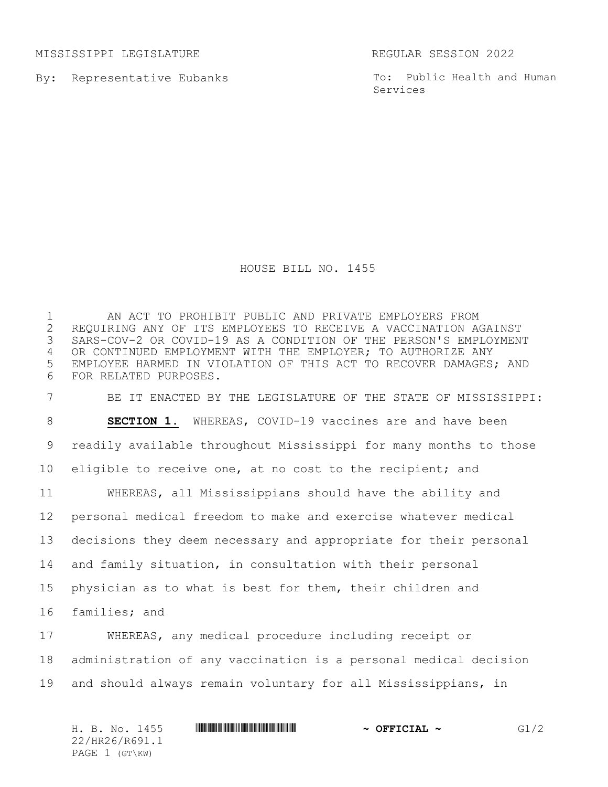MISSISSIPPI LEGISLATURE REGULAR SESSION 2022

By: Representative Eubanks

To: Public Health and Human Services

## HOUSE BILL NO. 1455

 AN ACT TO PROHIBIT PUBLIC AND PRIVATE EMPLOYERS FROM REQUIRING ANY OF ITS EMPLOYEES TO RECEIVE A VACCINATION AGAINST SARS-COV-2 OR COVID-19 AS A CONDITION OF THE PERSON'S EMPLOYMENT OR CONTINUED EMPLOYMENT WITH THE EMPLOYER; TO AUTHORIZE ANY EMPLOYEE HARMED IN VIOLATION OF THIS ACT TO RECOVER DAMAGES; AND FOR RELATED PURPOSES.

 BE IT ENACTED BY THE LEGISLATURE OF THE STATE OF MISSISSIPPI: **SECTION 1.** WHEREAS, COVID-19 vaccines are and have been readily available throughout Mississippi for many months to those eligible to receive one, at no cost to the recipient; and WHEREAS, all Mississippians should have the ability and personal medical freedom to make and exercise whatever medical decisions they deem necessary and appropriate for their personal and family situation, in consultation with their personal physician as to what is best for them, their children and families; and

 WHEREAS, any medical procedure including receipt or administration of any vaccination is a personal medical decision and should always remain voluntary for all Mississippians, in

H. B. No. 1455 \*HR26/R691.1\* **~ OFFICIAL ~** G1/2 22/HR26/R691.1 PAGE 1 (GT\KW)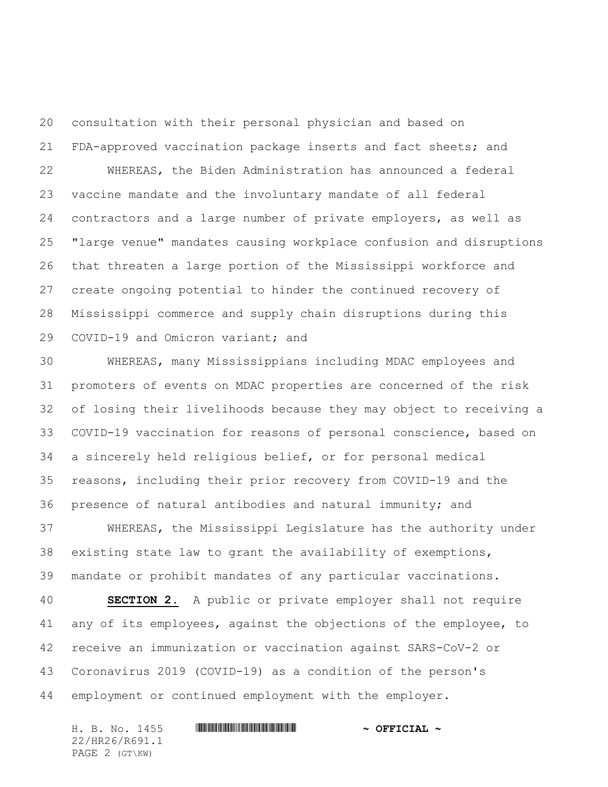consultation with their personal physician and based on FDA-approved vaccination package inserts and fact sheets; and WHEREAS, the Biden Administration has announced a federal vaccine mandate and the involuntary mandate of all federal contractors and a large number of private employers, as well as "large venue" mandates causing workplace confusion and disruptions that threaten a large portion of the Mississippi workforce and create ongoing potential to hinder the continued recovery of Mississippi commerce and supply chain disruptions during this COVID-19 and Omicron variant; and

 WHEREAS, many Mississippians including MDAC employees and promoters of events on MDAC properties are concerned of the risk of losing their livelihoods because they may object to receiving a COVID-19 vaccination for reasons of personal conscience, based on a sincerely held religious belief, or for personal medical reasons, including their prior recovery from COVID-19 and the presence of natural antibodies and natural immunity; and

 WHEREAS, the Mississippi Legislature has the authority under existing state law to grant the availability of exemptions, mandate or prohibit mandates of any particular vaccinations.

 **SECTION 2.** A public or private employer shall not require any of its employees, against the objections of the employee, to receive an immunization or vaccination against SARS-CoV-2 or Coronavirus 2019 (COVID-19) as a condition of the person's employment or continued employment with the employer.

H. B. No. 1455 **. HREGIAL AND A SET IN STATE AND A SET IOLAL A** 22/HR26/R691.1 PAGE 2 (GT\KW)